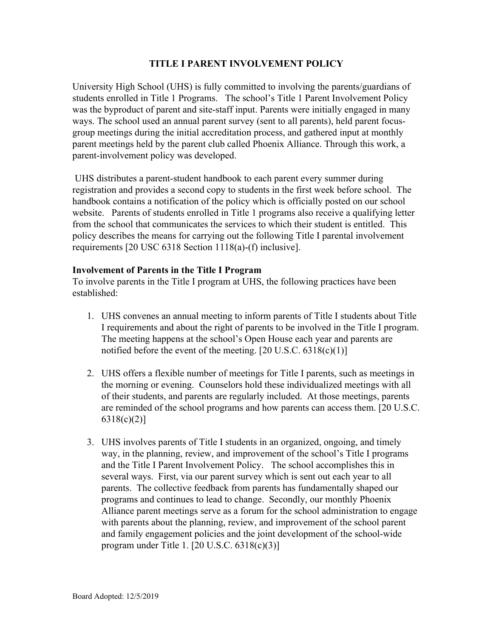## **TITLE I PARENT INVOLVEMENT POLICY**

University High School (UHS) is fully committed to involving the parents/guardians of students enrolled in Title 1 Programs. The school's Title 1 Parent Involvement Policy was the byproduct of parent and site-staff input. Parents were initially engaged in many ways. The school used an annual parent survey (sent to all parents), held parent focusgroup meetings during the initial accreditation process, and gathered input at monthly parent meetings held by the parent club called Phoenix Alliance. Through this work, a parent-involvement policy was developed.

 UHS distributes a parent-student handbook to each parent every summer during registration and provides a second copy to students in the first week before school. The handbook contains a notification of the policy which is officially posted on our school website. Parents of students enrolled in Title 1 programs also receive a qualifying letter from the school that communicates the services to which their student is entitled. This policy describes the means for carrying out the following Title I parental involvement requirements [20 USC 6318 Section 1118(a)-(f) inclusive].

## **Involvement of Parents in the Title I Program**

To involve parents in the Title I program at UHS, the following practices have been established:

- 1. UHS convenes an annual meeting to inform parents of Title I students about Title I requirements and about the right of parents to be involved in the Title I program. The meeting happens at the school's Open House each year and parents are notified before the event of the meeting.  $[20 \text{ U.S.C. } 6318(c)(1)]$
- 2. UHS offers a flexible number of meetings for Title I parents, such as meetings in the morning or evening. Counselors hold these individualized meetings with all of their students, and parents are regularly included. At those meetings, parents are reminded of the school programs and how parents can access them. [20 U.S.C. 6318(c)(2)]
- 3. UHS involves parents of Title I students in an organized, ongoing, and timely way, in the planning, review, and improvement of the school's Title I programs and the Title I Parent Involvement Policy. The school accomplishes this in several ways. First, via our parent survey which is sent out each year to all parents. The collective feedback from parents has fundamentally shaped our programs and continues to lead to change. Secondly, our monthly Phoenix Alliance parent meetings serve as a forum for the school administration to engage with parents about the planning, review, and improvement of the school parent and family engagement policies and the joint development of the school-wide program under Title 1. [20 U.S.C. 6318(c)(3)]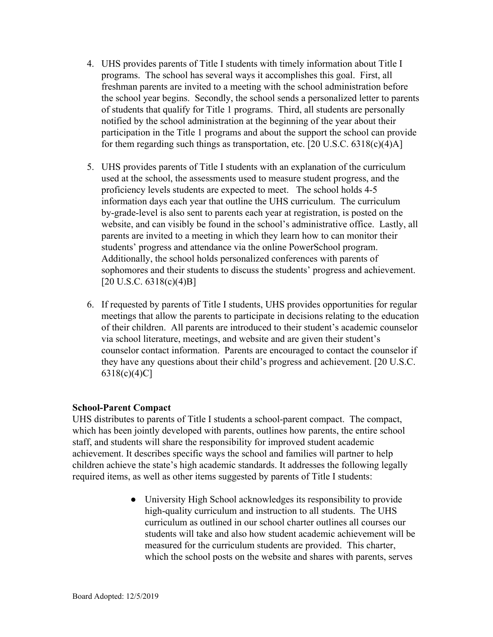- 4. UHS provides parents of Title I students with timely information about Title I programs. The school has several ways it accomplishes this goal. First, all freshman parents are invited to a meeting with the school administration before the school year begins. Secondly, the school sends a personalized letter to parents of students that qualify for Title 1 programs. Third, all students are personally notified by the school administration at the beginning of the year about their participation in the Title 1 programs and about the support the school can provide for them regarding such things as transportation, etc.  $[20 \text{ U.S.C. } 6318 \text{ (c)}(4) \text{A}]$
- 5. UHS provides parents of Title I students with an explanation of the curriculum used at the school, the assessments used to measure student progress, and the proficiency levels students are expected to meet. The school holds 4-5 information days each year that outline the UHS curriculum. The curriculum by-grade-level is also sent to parents each year at registration, is posted on the website, and can visibly be found in the school's administrative office. Lastly, all parents are invited to a meeting in which they learn how to can monitor their students' progress and attendance via the online PowerSchool program. Additionally, the school holds personalized conferences with parents of sophomores and their students to discuss the students' progress and achievement.  $[20 \text{ U.S.C. } 6318 \text{(c)}(4) \text{B}]$
- 6. If requested by parents of Title I students, UHS provides opportunities for regular meetings that allow the parents to participate in decisions relating to the education of their children. All parents are introduced to their student's academic counselor via school literature, meetings, and website and are given their student's counselor contact information. Parents are encouraged to contact the counselor if they have any questions about their child's progress and achievement. [20 U.S.C. 6318(c)(4)C]

## **School-Parent Compact**

UHS distributes to parents of Title I students a school-parent compact. The compact, which has been jointly developed with parents, outlines how parents, the entire school staff, and students will share the responsibility for improved student academic achievement. It describes specific ways the school and families will partner to help children achieve the state's high academic standards. It addresses the following legally required items, as well as other items suggested by parents of Title I students:

> ● University High School acknowledges its responsibility to provide high-quality curriculum and instruction to all students. The UHS curriculum as outlined in our school charter outlines all courses our students will take and also how student academic achievement will be measured for the curriculum students are provided. This charter, which the school posts on the website and shares with parents, serves